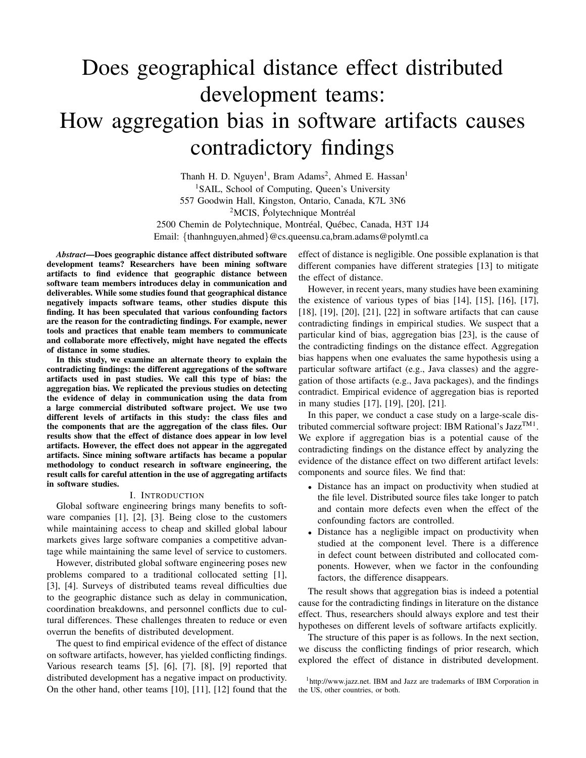# Does geographical distance effect distributed development teams: How aggregation bias in software artifacts causes contradictory findings

Thanh H. D. Nguyen<sup>1</sup>, Bram Adams<sup>2</sup>, Ahmed E. Hassan<sup>1</sup> <sup>1</sup>SAIL, School of Computing, Queen's University 557 Goodwin Hall, Kingston, Ontario, Canada, K7L 3N6  $2MCIS$ , Polytechnique Montréal

2500 Chemin de Polytechnique, Montréal, Québec, Canada, H3T 1J4 Email: {thanhnguyen,ahmed}@cs.queensu.ca,bram.adams@polymtl.ca

*Abstract*—Does geographic distance affect distributed software development teams? Researchers have been mining software artifacts to find evidence that geographic distance between software team members introduces delay in communication and deliverables. While some studies found that geographical distance negatively impacts software teams, other studies dispute this finding. It has been speculated that various confounding factors are the reason for the contradicting findings. For example, newer tools and practices that enable team members to communicate and collaborate more effectively, might have negated the effects of distance in some studies.

In this study, we examine an alternate theory to explain the contradicting findings: the different aggregations of the software artifacts used in past studies. We call this type of bias: the aggregation bias. We replicated the previous studies on detecting the evidence of delay in communication using the data from a large commercial distributed software project. We use two different levels of artifacts in this study: the class files and the components that are the aggregation of the class files. Our results show that the effect of distance does appear in low level artifacts. However, the effect does not appear in the aggregated artifacts. Since mining software artifacts has became a popular methodology to conduct research in software engineering, the result calls for careful attention in the use of aggregating artifacts in software studies.

## I. INTRODUCTION

Global software engineering brings many benefits to software companies [1], [2], [3]. Being close to the customers while maintaining access to cheap and skilled global labour markets gives large software companies a competitive advantage while maintaining the same level of service to customers.

However, distributed global software engineering poses new problems compared to a traditional collocated setting [1], [3], [4]. Surveys of distributed teams reveal difficulties due to the geographic distance such as delay in communication, coordination breakdowns, and personnel conflicts due to cultural differences. These challenges threaten to reduce or even overrun the benefits of distributed development.

The quest to find empirical evidence of the effect of distance on software artifacts, however, has yielded conflicting findings. Various research teams [5], [6], [7], [8], [9] reported that distributed development has a negative impact on productivity. On the other hand, other teams [10], [11], [12] found that the effect of distance is negligible. One possible explanation is that different companies have different strategies [13] to mitigate the effect of distance.

However, in recent years, many studies have been examining the existence of various types of bias [14], [15], [16], [17], [18], [19], [20], [21], [22] in software artifacts that can cause contradicting findings in empirical studies. We suspect that a particular kind of bias, aggregation bias [23], is the cause of the contradicting findings on the distance effect. Aggregation bias happens when one evaluates the same hypothesis using a particular software artifact (e.g., Java classes) and the aggregation of those artifacts (e.g., Java packages), and the findings contradict. Empirical evidence of aggregation bias is reported in many studies [17], [19], [20], [21].

In this paper, we conduct a case study on a large-scale distributed commercial software project: IBM Rational's Jazz<sup>TM1</sup>. We explore if aggregation bias is a potential cause of the contradicting findings on the distance effect by analyzing the evidence of the distance effect on two different artifact levels: components and source files. We find that:

- Distance has an impact on productivity when studied at the file level. Distributed source files take longer to patch and contain more defects even when the effect of the confounding factors are controlled.
- Distance has a negligible impact on productivity when studied at the component level. There is a difference in defect count between distributed and collocated components. However, when we factor in the confounding factors, the difference disappears.

The result shows that aggregation bias is indeed a potential cause for the contradicting findings in literature on the distance effect. Thus, researchers should always explore and test their hypotheses on different levels of software artifacts explicitly.

The structure of this paper is as follows. In the next section, we discuss the conflicting findings of prior research, which explored the effect of distance in distributed development.

<sup>&</sup>lt;sup>1</sup>http://www.jazz.net. IBM and Jazz are trademarks of IBM Corporation in the US, other countries, or both.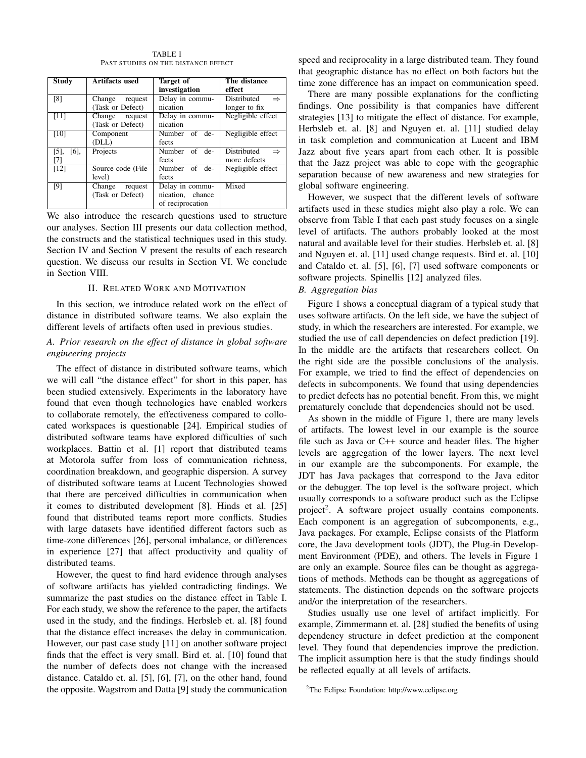| <b>Study</b>    | <b>Artifacts</b> used | Target of        | The distance                 |
|-----------------|-----------------------|------------------|------------------------------|
|                 |                       | investigation    | effect                       |
| [8]             | Change<br>request     | Delay in commu-  | Distributed<br>$\Rightarrow$ |
|                 | (Task or Defect)      | nication         | longer to fix                |
| [11]            | Change<br>request     | Delay in commu-  | Negligible effect            |
|                 | (Task or Defect)      | nication         |                              |
| [10]            | Component             | Number of de-    | Negligible effect            |
|                 | (DLL)                 | fects            |                              |
| $[5]$ , $[6]$ , | Projects              | Number of de-    | Distributed<br>$\Rightarrow$ |
| [7]             |                       | fects            | more defects                 |
| [12]            | Source code (File)    | Number of de-    | Negligible effect            |
|                 | level)                | fects            |                              |
| [9]             | Change<br>request     | Delay in commu-  | Mixed                        |
|                 | (Task or Defect)      | nication, chance |                              |
|                 |                       | of reciprocation |                              |

TABLE I PAST STUDIES ON THE DISTANCE EFFECT

We also introduce the research questions used to structure our analyses. Section III presents our data collection method, the constructs and the statistical techniques used in this study. Section IV and Section V present the results of each research question. We discuss our results in Section VI. We conclude in Section VIII.

## II. RELATED WORK AND MOTIVATION

In this section, we introduce related work on the effect of distance in distributed software teams. We also explain the different levels of artifacts often used in previous studies.

# *A. Prior research on the effect of distance in global software engineering projects*

The effect of distance in distributed software teams, which we will call "the distance effect" for short in this paper, has been studied extensively. Experiments in the laboratory have found that even though technologies have enabled workers to collaborate remotely, the effectiveness compared to collocated workspaces is questionable [24]. Empirical studies of distributed software teams have explored difficulties of such workplaces. Battin et al. [1] report that distributed teams at Motorola suffer from loss of communication richness, coordination breakdown, and geographic dispersion. A survey of distributed software teams at Lucent Technologies showed that there are perceived difficulties in communication when it comes to distributed development [8]. Hinds et al. [25] found that distributed teams report more conflicts. Studies with large datasets have identified different factors such as time-zone differences [26], personal imbalance, or differences in experience [27] that affect productivity and quality of distributed teams.

However, the quest to find hard evidence through analyses of software artifacts has yielded contradicting findings. We summarize the past studies on the distance effect in Table I. For each study, we show the reference to the paper, the artifacts used in the study, and the findings. Herbsleb et. al. [8] found that the distance effect increases the delay in communication. However, our past case study [11] on another software project finds that the effect is very small. Bird et. al. [10] found that the number of defects does not change with the increased distance. Cataldo et. al. [5], [6], [7], on the other hand, found the opposite. Wagstrom and Datta [9] study the communication speed and reciprocality in a large distributed team. They found that geographic distance has no effect on both factors but the time zone difference has an impact on communication speed.

There are many possible explanations for the conflicting findings. One possibility is that companies have different strategies [13] to mitigate the effect of distance. For example, Herbsleb et. al. [8] and Nguyen et. al. [11] studied delay in task completion and communication at Lucent and IBM Jazz about five years apart from each other. It is possible that the Jazz project was able to cope with the geographic separation because of new awareness and new strategies for global software engineering.

However, we suspect that the different levels of software artifacts used in these studies might also play a role. We can observe from Table I that each past study focuses on a single level of artifacts. The authors probably looked at the most natural and available level for their studies. Herbsleb et. al. [8] and Nguyen et. al. [11] used change requests. Bird et. al. [10] and Cataldo et. al. [5], [6], [7] used software components or software projects. Spinellis [12] analyzed files.

# *B. Aggregation bias*

Figure 1 shows a conceptual diagram of a typical study that uses software artifacts. On the left side, we have the subject of study, in which the researchers are interested. For example, we studied the use of call dependencies on defect prediction [19]. In the middle are the artifacts that researchers collect. On the right side are the possible conclusions of the analysis. For example, we tried to find the effect of dependencies on defects in subcomponents. We found that using dependencies to predict defects has no potential benefit. From this, we might prematurely conclude that dependencies should not be used.

As shown in the middle of Figure 1, there are many levels of artifacts. The lowest level in our example is the source file such as Java or C++ source and header files. The higher levels are aggregation of the lower layers. The next level in our example are the subcomponents. For example, the JDT has Java packages that correspond to the Java editor or the debugger. The top level is the software project, which usually corresponds to a software product such as the Eclipse project<sup>2</sup>. A software project usually contains components. Each component is an aggregation of subcomponents, e.g., Java packages. For example, Eclipse consists of the Platform core, the Java development tools (JDT), the Plug-in Development Environment (PDE), and others. The levels in Figure 1 are only an example. Source files can be thought as aggregations of methods. Methods can be thought as aggregations of statements. The distinction depends on the software projects and/or the interpretation of the researchers.

Studies usually use one level of artifact implicitly. For example, Zimmermann et. al. [28] studied the benefits of using dependency structure in defect prediction at the component level. They found that dependencies improve the prediction. The implicit assumption here is that the study findings should be reflected equally at all levels of artifacts.

<sup>2</sup>The Eclipse Foundation: http://www.eclipse.org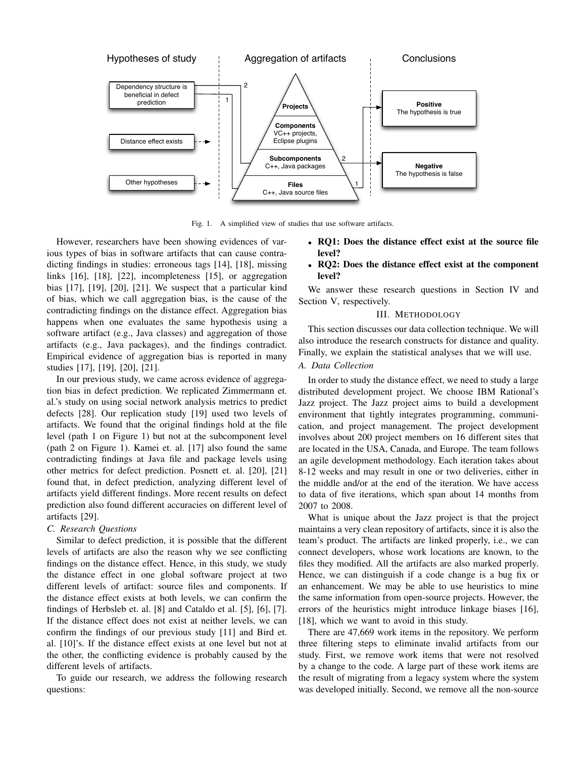

Fig. 1. A simplified view of studies that use software artifacts.

However, researchers have been showing evidences of various types of bias in software artifacts that can cause contradicting findings in studies: erroneous tags [14], [18], missing links [16], [18], [22], incompleteness [15], or aggregation bias [17], [19], [20], [21]. We suspect that a particular kind of bias, which we call aggregation bias, is the cause of the contradicting findings on the distance effect. Aggregation bias happens when one evaluates the same hypothesis using a software artifact (e.g., Java classes) and aggregation of those artifacts (e.g., Java packages), and the findings contradict. Empirical evidence of aggregation bias is reported in many studies [17], [19], [20], [21].

In our previous study, we came across evidence of aggregation bias in defect prediction. We replicated Zimmermann et. al.'s study on using social network analysis metrics to predict defects [28]. Our replication study [19] used two levels of artifacts. We found that the original findings hold at the file level (path 1 on Figure 1) but not at the subcomponent level (path 2 on Figure 1). Kamei et. al. [17] also found the same contradicting findings at Java file and package levels using other metrics for defect prediction. Posnett et. al. [20], [21] found that, in defect prediction, analyzing different level of artifacts yield different findings. More recent results on defect prediction also found different accuracies on different level of artifacts [29].

## *C. Research Questions*

Similar to defect prediction, it is possible that the different levels of artifacts are also the reason why we see conflicting findings on the distance effect. Hence, in this study, we study the distance effect in one global software project at two different levels of artifact: source files and components. If the distance effect exists at both levels, we can confirm the findings of Herbsleb et. al. [8] and Cataldo et al. [5], [6], [7]. If the distance effect does not exist at neither levels, we can confirm the findings of our previous study [11] and Bird et. al. [10]'s. If the distance effect exists at one level but not at the other, the conflicting evidence is probably caused by the different levels of artifacts.

To guide our research, we address the following research questions:

- RQ1: Does the distance effect exist at the source file level?
- RQ2: Does the distance effect exist at the component level?

We answer these research questions in Section IV and Section V, respectively.

# III. METHODOLOGY

This section discusses our data collection technique. We will also introduce the research constructs for distance and quality. Finally, we explain the statistical analyses that we will use.

# *A. Data Collection*

In order to study the distance effect, we need to study a large distributed development project. We choose IBM Rational's Jazz project. The Jazz project aims to build a development environment that tightly integrates programming, communication, and project management. The project development involves about 200 project members on 16 different sites that are located in the USA, Canada, and Europe. The team follows an agile development methodology. Each iteration takes about 8-12 weeks and may result in one or two deliveries, either in the middle and/or at the end of the iteration. We have access to data of five iterations, which span about 14 months from 2007 to 2008.

What is unique about the Jazz project is that the project maintains a very clean repository of artifacts, since it is also the team's product. The artifacts are linked properly, i.e., we can connect developers, whose work locations are known, to the files they modified. All the artifacts are also marked properly. Hence, we can distinguish if a code change is a bug fix or an enhancement. We may be able to use heuristics to mine the same information from open-source projects. However, the errors of the heuristics might introduce linkage biases [16], [18], which we want to avoid in this study.

There are 47,669 work items in the repository. We perform three filtering steps to eliminate invalid artifacts from our study. First, we remove work items that were not resolved by a change to the code. A large part of these work items are the result of migrating from a legacy system where the system was developed initially. Second, we remove all the non-source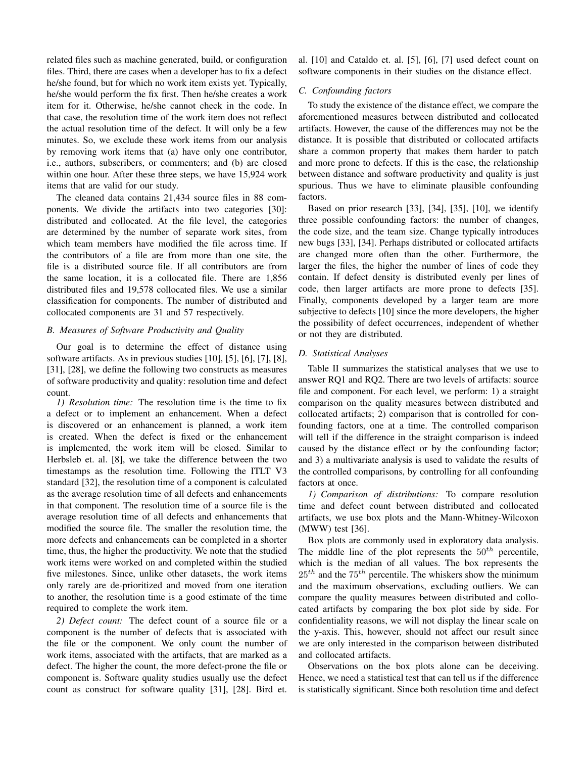related files such as machine generated, build, or configuration files. Third, there are cases when a developer has to fix a defect he/she found, but for which no work item exists yet. Typically, he/she would perform the fix first. Then he/she creates a work item for it. Otherwise, he/she cannot check in the code. In that case, the resolution time of the work item does not reflect the actual resolution time of the defect. It will only be a few minutes. So, we exclude these work items from our analysis by removing work items that (a) have only one contributor, i.e., authors, subscribers, or commenters; and (b) are closed within one hour. After these three steps, we have 15,924 work items that are valid for our study.

The cleaned data contains 21,434 source files in 88 components. We divide the artifacts into two categories [30]: distributed and collocated. At the file level, the categories are determined by the number of separate work sites, from which team members have modified the file across time. If the contributors of a file are from more than one site, the file is a distributed source file. If all contributors are from the same location, it is a collocated file. There are 1,856 distributed files and 19,578 collocated files. We use a similar classification for components. The number of distributed and collocated components are 31 and 57 respectively.

# *B. Measures of Software Productivity and Quality*

Our goal is to determine the effect of distance using software artifacts. As in previous studies [10], [5], [6], [7], [8], [31], [28], we define the following two constructs as measures of software productivity and quality: resolution time and defect count.

*1) Resolution time:* The resolution time is the time to fix a defect or to implement an enhancement. When a defect is discovered or an enhancement is planned, a work item is created. When the defect is fixed or the enhancement is implemented, the work item will be closed. Similar to Herbsleb et. al. [8], we take the difference between the two timestamps as the resolution time. Following the ITLT V3 standard [32], the resolution time of a component is calculated as the average resolution time of all defects and enhancements in that component. The resolution time of a source file is the average resolution time of all defects and enhancements that modified the source file. The smaller the resolution time, the more defects and enhancements can be completed in a shorter time, thus, the higher the productivity. We note that the studied work items were worked on and completed within the studied five milestones. Since, unlike other datasets, the work items only rarely are de-prioritized and moved from one iteration to another, the resolution time is a good estimate of the time required to complete the work item.

*2) Defect count:* The defect count of a source file or a component is the number of defects that is associated with the file or the component. We only count the number of work items, associated with the artifacts, that are marked as a defect. The higher the count, the more defect-prone the file or component is. Software quality studies usually use the defect count as construct for software quality [31], [28]. Bird et. al. [10] and Cataldo et. al. [5], [6], [7] used defect count on software components in their studies on the distance effect.

## *C. Confounding factors*

To study the existence of the distance effect, we compare the aforementioned measures between distributed and collocated artifacts. However, the cause of the differences may not be the distance. It is possible that distributed or collocated artifacts share a common property that makes them harder to patch and more prone to defects. If this is the case, the relationship between distance and software productivity and quality is just spurious. Thus we have to eliminate plausible confounding factors.

Based on prior research [33], [34], [35], [10], we identify three possible confounding factors: the number of changes, the code size, and the team size. Change typically introduces new bugs [33], [34]. Perhaps distributed or collocated artifacts are changed more often than the other. Furthermore, the larger the files, the higher the number of lines of code they contain. If defect density is distributed evenly per lines of code, then larger artifacts are more prone to defects [35]. Finally, components developed by a larger team are more subjective to defects [10] since the more developers, the higher the possibility of defect occurrences, independent of whether or not they are distributed.

# *D. Statistical Analyses*

Table II summarizes the statistical analyses that we use to answer RQ1 and RQ2. There are two levels of artifacts: source file and component. For each level, we perform: 1) a straight comparison on the quality measures between distributed and collocated artifacts; 2) comparison that is controlled for confounding factors, one at a time. The controlled comparison will tell if the difference in the straight comparison is indeed caused by the distance effect or by the confounding factor; and 3) a multivariate analysis is used to validate the results of the controlled comparisons, by controlling for all confounding factors at once.

*1) Comparison of distributions:* To compare resolution time and defect count between distributed and collocated artifacts, we use box plots and the Mann-Whitney-Wilcoxon (MWW) test [36].

Box plots are commonly used in exploratory data analysis. The middle line of the plot represents the  $50<sup>th</sup>$  percentile, which is the median of all values. The box represents the  $25<sup>th</sup>$  and the  $75<sup>th</sup>$  percentile. The whiskers show the minimum and the maximum observations, excluding outliers. We can compare the quality measures between distributed and collocated artifacts by comparing the box plot side by side. For confidentiality reasons, we will not display the linear scale on the y-axis. This, however, should not affect our result since we are only interested in the comparison between distributed and collocated artifacts.

Observations on the box plots alone can be deceiving. Hence, we need a statistical test that can tell us if the difference is statistically significant. Since both resolution time and defect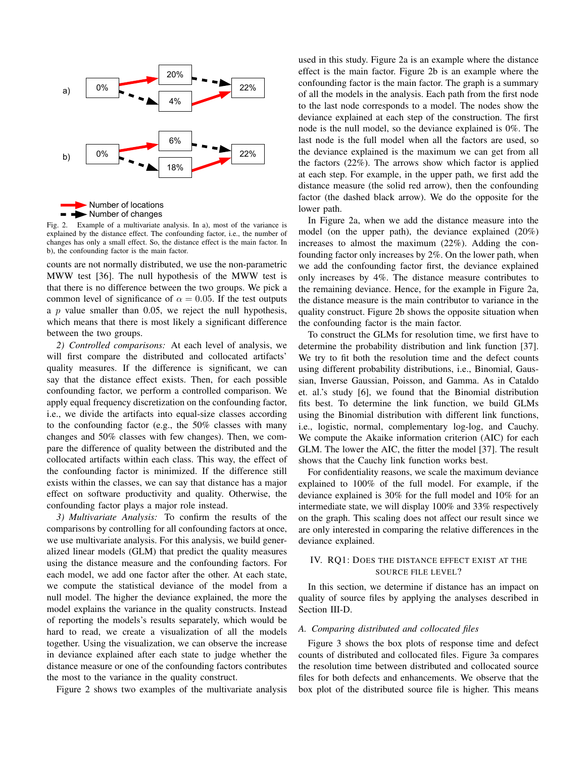

Fig. 2. Example of a multivariate analysis. In a), most of the variance is explained by the distance effect. The confounding factor, i.e., the number of changes has only a small effect. So, the distance effect is the main factor. In b), the confounding factor is the main factor.

counts are not normally distributed, we use the non-parametric MWW test [36]. The null hypothesis of the MWW test is that there is no difference between the two groups. We pick a common level of significance of  $\alpha = 0.05$ . If the test outputs a  $p$  value smaller than 0.05, we reject the null hypothesis, which means that there is most likely a significant difference between the two groups.

*2) Controlled comparisons:* At each level of analysis, we will first compare the distributed and collocated artifacts' quality measures. If the difference is significant, we can say that the distance effect exists. Then, for each possible confounding factor, we perform a controlled comparison. We apply equal frequency discretization on the confounding factor, i.e., we divide the artifacts into equal-size classes according to the confounding factor (e.g., the 50% classes with many changes and 50% classes with few changes). Then, we compare the difference of quality between the distributed and the collocated artifacts within each class. This way, the effect of the confounding factor is minimized. If the difference still exists within the classes, we can say that distance has a major effect on software productivity and quality. Otherwise, the confounding factor plays a major role instead.

*3) Multivariate Analysis:* To confirm the results of the comparisons by controlling for all confounding factors at once, we use multivariate analysis. For this analysis, we build generalized linear models (GLM) that predict the quality measures using the distance measure and the confounding factors. For each model, we add one factor after the other. At each state, we compute the statistical deviance of the model from a null model. The higher the deviance explained, the more the model explains the variance in the quality constructs. Instead of reporting the models's results separately, which would be hard to read, we create a visualization of all the models together. Using the visualization, we can observe the increase in deviance explained after each state to judge whether the distance measure or one of the confounding factors contributes the most to the variance in the quality construct.

Figure 2 shows two examples of the multivariate analysis

used in this study. Figure 2a is an example where the distance effect is the main factor. Figure 2b is an example where the confounding factor is the main factor. The graph is a summary of all the models in the analysis. Each path from the first node to the last node corresponds to a model. The nodes show the deviance explained at each step of the construction. The first node is the null model, so the deviance explained is 0%. The last node is the full model when all the factors are used, so the deviance explained is the maximum we can get from all the factors (22%). The arrows show which factor is applied at each step. For example, in the upper path, we first add the distance measure (the solid red arrow), then the confounding factor (the dashed black arrow). We do the opposite for the lower path.

In Figure 2a, when we add the distance measure into the model (on the upper path), the deviance explained (20%) increases to almost the maximum (22%). Adding the confounding factor only increases by 2%. On the lower path, when we add the confounding factor first, the deviance explained only increases by 4%. The distance measure contributes to the remaining deviance. Hence, for the example in Figure 2a, the distance measure is the main contributor to variance in the quality construct. Figure 2b shows the opposite situation when the confounding factor is the main factor.

To construct the GLMs for resolution time, we first have to determine the probability distribution and link function [37]. We try to fit both the resolution time and the defect counts using different probability distributions, i.e., Binomial, Gaussian, Inverse Gaussian, Poisson, and Gamma. As in Cataldo et. al.'s study [6], we found that the Binomial distribution fits best. To determine the link function, we build GLMs using the Binomial distribution with different link functions, i.e., logistic, normal, complementary log-log, and Cauchy. We compute the Akaike information criterion (AIC) for each GLM. The lower the AIC, the fitter the model [37]. The result shows that the Cauchy link function works best.

For confidentiality reasons, we scale the maximum deviance explained to 100% of the full model. For example, if the deviance explained is 30% for the full model and 10% for an intermediate state, we will display 100% and 33% respectively on the graph. This scaling does not affect our result since we are only interested in comparing the relative differences in the deviance explained.

# IV. RQ1: DOES THE DISTANCE EFFECT EXIST AT THE SOURCE FILE LEVEL?

In this section, we determine if distance has an impact on quality of source files by applying the analyses described in Section III-D.

#### *A. Comparing distributed and collocated files*

Figure 3 shows the box plots of response time and defect counts of distributed and collocated files. Figure 3a compares the resolution time between distributed and collocated source files for both defects and enhancements. We observe that the box plot of the distributed source file is higher. This means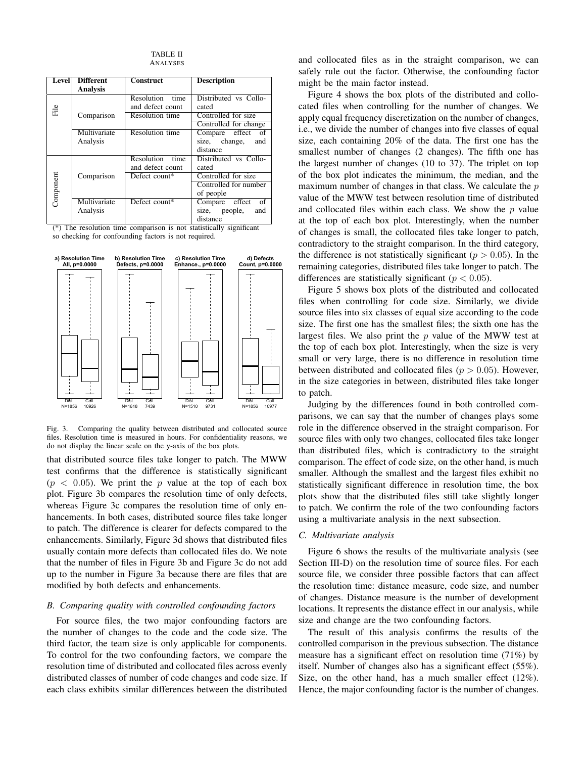| TABLE II        |  |  |  |
|-----------------|--|--|--|
| <b>ANALYSES</b> |  |  |  |

| Level     | <b>Different</b> | <b>Construct</b>          | <b>Description</b>    |
|-----------|------------------|---------------------------|-----------------------|
|           | <b>Analysis</b>  |                           |                       |
| File      |                  | Resolution<br>time        | Distributed vs Collo- |
|           |                  | and defect count          | cated                 |
|           | Comparison       | Resolution time           | Controlled for size   |
|           |                  |                           | Controlled for change |
|           | Multivariate     | Resolution time           | Compare effect of     |
|           | Analysis         |                           | size, change,<br>and  |
|           |                  |                           | distance              |
| Component | Comparison       | <b>Resolution</b><br>time | Distributed vs Collo- |
|           |                  | and defect count          | cated                 |
|           |                  | Defect count*             | Controlled for size   |
|           |                  |                           | Controlled for number |
|           |                  |                           | of people             |
|           | Multivariate     | Defect count*             | Compare effect<br>of  |
|           | Analysis         |                           | size, people,<br>and  |
|           |                  |                           | distance              |

(\*) The resolution time comparison is not statistically significant so checking for confounding factors is not required.



Fig. 3. Comparing the quality between distributed and collocated source files. Resolution time is measured in hours. For confidentiality reasons, we do not display the linear scale on the y-axis of the box plots.

that distributed source files take longer to patch. The MWW test confirms that the difference is statistically significant  $(p < 0.05)$ . We print the p value at the top of each box plot. Figure 3b compares the resolution time of only defects, whereas Figure 3c compares the resolution time of only enhancements. In both cases, distributed source files take longer to patch. The difference is clearer for defects compared to the enhancements. Similarly, Figure 3d shows that distributed files usually contain more defects than collocated files do. We note that the number of files in Figure 3b and Figure 3c do not add up to the number in Figure 3a because there are files that are modified by both defects and enhancements.

## *B. Comparing quality with controlled confounding factors*

For source files, the two major confounding factors are the number of changes to the code and the code size. The third factor, the team size is only applicable for components. To control for the two confounding factors, we compare the resolution time of distributed and collocated files across evenly distributed classes of number of code changes and code size. If each class exhibits similar differences between the distributed and collocated files as in the straight comparison, we can safely rule out the factor. Otherwise, the confounding factor might be the main factor instead.

Figure 4 shows the box plots of the distributed and collocated files when controlling for the number of changes. We apply equal frequency discretization on the number of changes, i.e., we divide the number of changes into five classes of equal size, each containing 20% of the data. The first one has the smallest number of changes (2 changes). The fifth one has the largest number of changes (10 to 37). The triplet on top of the box plot indicates the minimum, the median, and the maximum number of changes in that class. We calculate the p value of the MWW test between resolution time of distributed and collocated files within each class. We show the  $p$  value at the top of each box plot. Interestingly, when the number of changes is small, the collocated files take longer to patch, contradictory to the straight comparison. In the third category, the difference is not statistically significant ( $p > 0.05$ ). In the remaining categories, distributed files take longer to patch. The differences are statistically significant ( $p < 0.05$ ).

Figure 5 shows box plots of the distributed and collocated files when controlling for code size. Similarly, we divide source files into six classes of equal size according to the code size. The first one has the smallest files; the sixth one has the largest files. We also print the  $p$  value of the MWW test at the top of each box plot. Interestingly, when the size is very small or very large, there is no difference in resolution time between distributed and collocated files ( $p > 0.05$ ). However, in the size categories in between, distributed files take longer to patch.

Judging by the differences found in both controlled comparisons, we can say that the number of changes plays some role in the difference observed in the straight comparison. For source files with only two changes, collocated files take longer than distributed files, which is contradictory to the straight comparison. The effect of code size, on the other hand, is much smaller. Although the smallest and the largest files exhibit no statistically significant difference in resolution time, the box plots show that the distributed files still take slightly longer to patch. We confirm the role of the two confounding factors using a multivariate analysis in the next subsection.

# *C. Multivariate analysis*

Figure 6 shows the results of the multivariate analysis (see Section III-D) on the resolution time of source files. For each source file, we consider three possible factors that can affect the resolution time: distance measure, code size, and number of changes. Distance measure is the number of development locations. It represents the distance effect in our analysis, while size and change are the two confounding factors.

The result of this analysis confirms the results of the controlled comparison in the previous subsection. The distance measure has a significant effect on resolution time (71%) by itself. Number of changes also has a significant effect (55%). Size, on the other hand, has a much smaller effect  $(12\%)$ . Hence, the major confounding factor is the number of changes.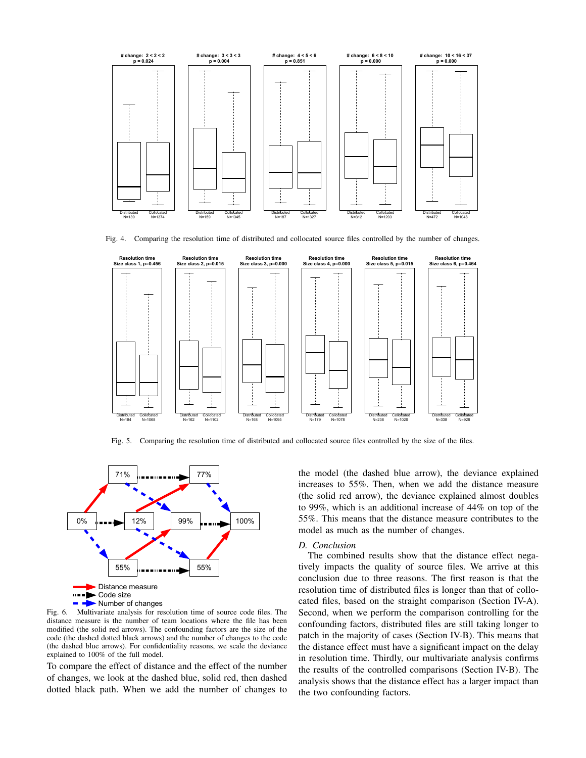

Fig. 4. Comparing the resolution time of distributed and collocated source files controlled by the number of changes.



Fig. 5. Comparing the resolution time of distributed and collocated source files controlled by the size of the files.



Fig. 6. Multivariate analysis for resolution time of source code files. The distance measure is the number of team locations where the file has been modified (the solid red arrows). The confounding factors are the size of the code (the dashed dotted black arrows) and the number of changes to the code (the dashed blue arrows). For confidentiality reasons, we scale the deviance explained to 100% of the full model.

To compare the effect of distance and the effect of the number of changes, we look at the dashed blue, solid red, then dashed dotted black path. When we add the number of changes to

the model (the dashed blue arrow), the deviance explained increases to 55%. Then, when we add the distance measure (the solid red arrow), the deviance explained almost doubles to 99%, which is an additional increase of 44% on top of the 55%. This means that the distance measure contributes to the model as much as the number of changes.

#### *D. Conclusion*

The combined results show that the distance effect negatively impacts the quality of source files. We arrive at this conclusion due to three reasons. The first reason is that the resolution time of distributed files is longer than that of collocated files, based on the straight comparison (Section IV-A). Second, when we perform the comparison controlling for the confounding factors, distributed files are still taking longer to patch in the majority of cases (Section IV-B). This means that the distance effect must have a significant impact on the delay in resolution time. Thirdly, our multivariate analysis confirms the results of the controlled comparisons (Section IV-B). The analysis shows that the distance effect has a larger impact than the two confounding factors.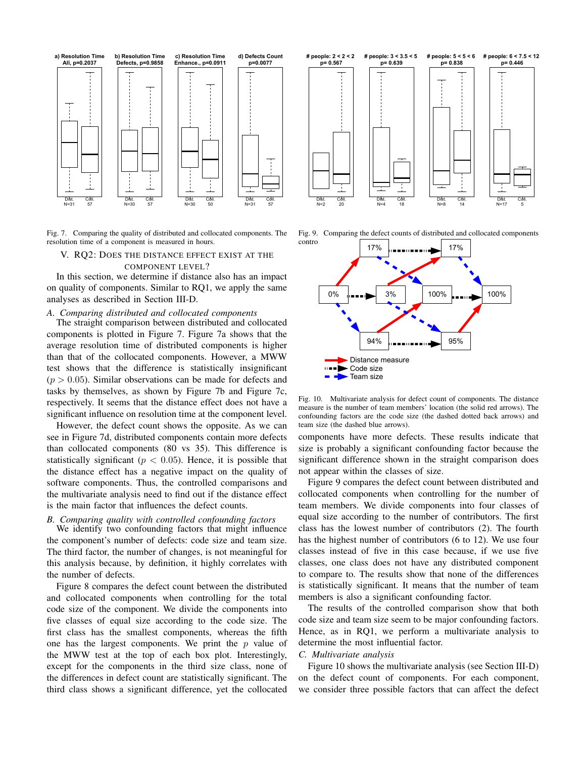

Fig. 7. Comparing the quality of distributed and collocated components. The resolution time of a component is measured in hours.

## V. RQ2: DOES THE DISTANCE EFFECT EXIST AT THE COMPONENT LEVEL?

In this section, we determine if distance also has an impact on quality of components. Similar to RQ1, we apply the same analyses as described in Section III-D.

# *A. Comparing distributed and collocated components*

The straight comparison between distributed and collocated components is plotted in Figure 7. Figure 7a shows that the average resolution time of distributed components is higher than that of the collocated components. However, a MWW test shows that the difference is statistically insignificant  $(p > 0.05)$ . Similar observations can be made for defects and tasks by themselves, as shown by Figure 7b and Figure 7c, respectively. It seems that the distance effect does not have a significant influence on resolution time at the component level.

However, the defect count shows the opposite. As we can see in Figure 7d, distributed components contain more defects than collocated components (80 vs 35). This difference is statistically significant ( $p < 0.05$ ). Hence, it is possible that the distance effect has a negative impact on the quality of software components. Thus, the controlled comparisons and the multivariate analysis need to find out if the distance effect is the main factor that influences the defect counts.

# *B. Comparing quality with controlled confounding factors*

We identify two confounding factors that might influence the component's number of defects: code size and team size. The third factor, the number of changes, is not meaningful for this analysis because, by definition, it highly correlates with the number of defects.

Figure 8 compares the defect count between the distributed and collocated components when controlling for the total code size of the component. We divide the components into five classes of equal size according to the code size. The first class has the smallest components, whereas the fifth one has the largest components. We print the  $p$  value of the MWW test at the top of each box plot. Interestingly, except for the components in the third size class, none of the differences in defect count are statistically significant. The third class shows a significant difference, yet the collocated



Fig. 9. Comparing the defect counts of distributed and collocated components



Fig. 10. Multivariate analysis for defect count of components. The distance measure is the number of team members' location (the solid red arrows). The confounding factors are the code size (the dashed dotted back arrows) and team size (the dashed blue arrows).

components have more defects. These results indicate that size is probably a significant confounding factor because the significant difference shown in the straight comparison does not appear within the classes of size.

Figure 9 compares the defect count between distributed and collocated components when controlling for the number of team members. We divide components into four classes of equal size according to the number of contributors. The first class has the lowest number of contributors (2). The fourth has the highest number of contributors (6 to 12). We use four classes instead of five in this case because, if we use five classes, one class does not have any distributed component to compare to. The results show that none of the differences is statistically significant. It means that the number of team members is also a significant confounding factor.

The results of the controlled comparison show that both code size and team size seem to be major confounding factors. Hence, as in RQ1, we perform a multivariate analysis to determine the most influential factor.

## *C. Multivariate analysis*

Figure 10 shows the multivariate analysis (see Section III-D) on the defect count of components. For each component, we consider three possible factors that can affect the defect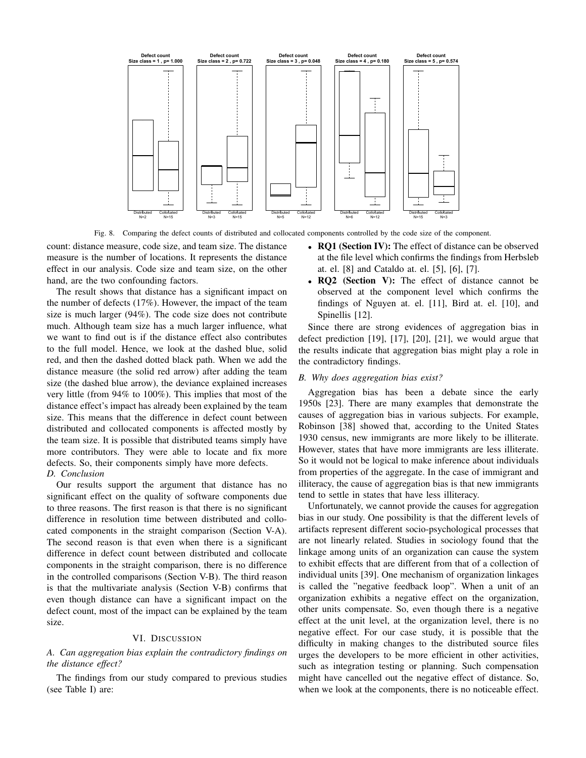

Fig. 8. Comparing the defect counts of distributed and collocated components controlled by the code size of the component.

count: distance measure, code size, and team size. The distance measure is the number of locations. It represents the distance effect in our analysis. Code size and team size, on the other hand, are the two confounding factors.

The result shows that distance has a significant impact on the number of defects (17%). However, the impact of the team size is much larger (94%). The code size does not contribute much. Although team size has a much larger influence, what we want to find out is if the distance effect also contributes to the full model. Hence, we look at the dashed blue, solid red, and then the dashed dotted black path. When we add the distance measure (the solid red arrow) after adding the team size (the dashed blue arrow), the deviance explained increases very little (from 94% to 100%). This implies that most of the distance effect's impact has already been explained by the team size. This means that the difference in defect count between distributed and collocated components is affected mostly by the team size. It is possible that distributed teams simply have more contributors. They were able to locate and fix more defects. So, their components simply have more defects. *D. Conclusion*

Our results support the argument that distance has no significant effect on the quality of software components due to three reasons. The first reason is that there is no significant difference in resolution time between distributed and collocated components in the straight comparison (Section V-A). The second reason is that even when there is a significant difference in defect count between distributed and collocate components in the straight comparison, there is no difference in the controlled comparisons (Section V-B). The third reason is that the multivariate analysis (Section V-B) confirms that even though distance can have a significant impact on the defect count, most of the impact can be explained by the team size.

# VI. DISCUSSION

# *A. Can aggregation bias explain the contradictory findings on the distance effect?*

The findings from our study compared to previous studies (see Table I) are:

- RQ1 (Section IV): The effect of distance can be observed at the file level which confirms the findings from Herbsleb at. el. [8] and Cataldo at. el. [5], [6], [7].
- RQ2 (Section V): The effect of distance cannot be observed at the component level which confirms the findings of Nguyen at. el. [11], Bird at. el. [10], and Spinellis [12].

Since there are strong evidences of aggregation bias in defect prediction [19], [17], [20], [21], we would argue that the results indicate that aggregation bias might play a role in the contradictory findings.

# *B. Why does aggregation bias exist?*

Aggregation bias has been a debate since the early 1950s [23]. There are many examples that demonstrate the causes of aggregation bias in various subjects. For example, Robinson [38] showed that, according to the United States 1930 census, new immigrants are more likely to be illiterate. However, states that have more immigrants are less illiterate. So it would not be logical to make inference about individuals from properties of the aggregate. In the case of immigrant and illiteracy, the cause of aggregation bias is that new immigrants tend to settle in states that have less illiteracy.

Unfortunately, we cannot provide the causes for aggregation bias in our study. One possibility is that the different levels of artifacts represent different socio-psychological processes that are not linearly related. Studies in sociology found that the linkage among units of an organization can cause the system to exhibit effects that are different from that of a collection of individual units [39]. One mechanism of organization linkages is called the "negative feedback loop". When a unit of an organization exhibits a negative effect on the organization, other units compensate. So, even though there is a negative effect at the unit level, at the organization level, there is no negative effect. For our case study, it is possible that the difficulty in making changes to the distributed source files urges the developers to be more efficient in other activities, such as integration testing or planning. Such compensation might have cancelled out the negative effect of distance. So, when we look at the components, there is no noticeable effect.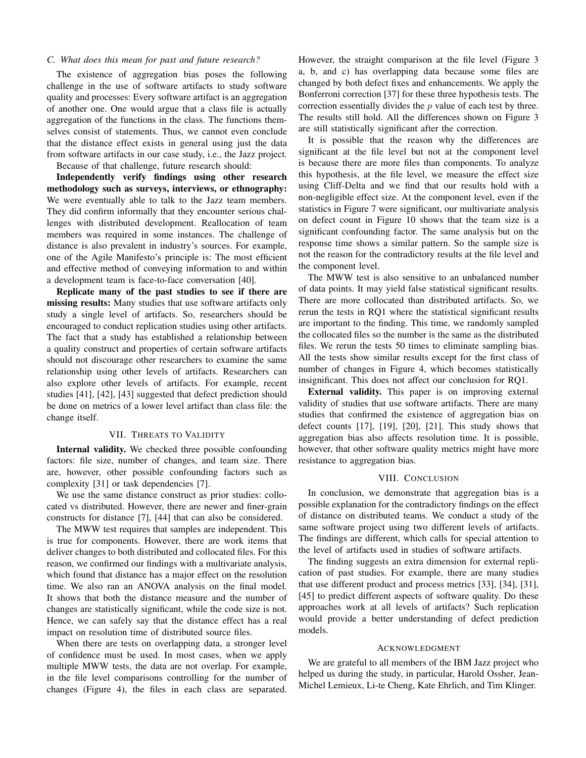## *C. What does this mean for past and future research?*

The existence of aggregation bias poses the following challenge in the use of software artifacts to study software quality and processes: Every software artifact is an aggregation of another one. One would argue that a class file is actually aggregation of the functions in the class. The functions themselves consist of statements. Thus, we cannot even conclude that the distance effect exists in general using just the data from software artifacts in our case study, i.e., the Jazz project.

Because of that challenge, future research should:

Independently verify findings using other research methodology such as surveys, interviews, or ethnography: We were eventually able to talk to the Jazz team members. They did confirm informally that they encounter serious challenges with distributed development. Reallocation of team members was required in some instances. The challenge of distance is also prevalent in industry's sources. For example, one of the Agile Manifesto's principle is: The most efficient and effective method of conveying information to and within a development team is face-to-face conversation [40].

Replicate many of the past studies to see if there are missing results: Many studies that use software artifacts only study a single level of artifacts. So, researchers should be encouraged to conduct replication studies using other artifacts. The fact that a study has established a relationship between a quality construct and properties of certain software artifacts should not discourage other researchers to examine the same relationship using other levels of artifacts. Researchers can also explore other levels of artifacts. For example, recent studies [41], [42], [43] suggested that defect prediction should be done on metrics of a lower level artifact than class file: the change itself.

## VII. THREATS TO VALIDITY

Internal validity. We checked three possible confounding factors: file size, number of changes, and team size. There are, however, other possible confounding factors such as complexity [31] or task dependencies [7].

We use the same distance construct as prior studies: collocated vs distributed. However, there are newer and finer-grain constructs for distance [7], [44] that can also be considered.

The MWW test requires that samples are independent. This is true for components. However, there are work items that deliver changes to both distributed and collocated files. For this reason, we confirmed our findings with a multivariate analysis, which found that distance has a major effect on the resolution time. We also ran an ANOVA analysis on the final model. It shows that both the distance measure and the number of changes are statistically significant, while the code size is not. Hence, we can safely say that the distance effect has a real impact on resolution time of distributed source files.

When there are tests on overlapping data, a stronger level of confidence must be used. In most cases, when we apply multiple MWW tests, the data are not overlap. For example, in the file level comparisons controlling for the number of changes (Figure 4), the files in each class are separated. However, the straight comparison at the file level (Figure 3 a, b, and c) has overlapping data because some files are changed by both defect fixes and enhancements. We apply the Bonferroni correction [37] for these three hypothesis tests. The correction essentially divides the p value of each test by three. The results still hold. All the differences shown on Figure 3 are still statistically significant after the correction.

It is possible that the reason why the differences are significant at the file level but not at the component level is because there are more files than components. To analyze this hypothesis, at the file level, we measure the effect size using Cliff-Delta and we find that our results hold with a non-negligible effect size. At the component level, even if the statistics in Figure 7 were significant, our multivariate analysis on defect count in Figure 10 shows that the team size is a significant confounding factor. The same analysis but on the response time shows a similar pattern. So the sample size is not the reason for the contradictory results at the file level and the component level.

The MWW test is also sensitive to an unbalanced number of data points. It may yield false statistical significant results. There are more collocated than distributed artifacts. So, we rerun the tests in RQ1 where the statistical significant results are important to the finding. This time, we randomly sampled the collocated files so the number is the same as the distributed files. We rerun the tests 50 times to eliminate sampling bias. All the tests show similar results except for the first class of number of changes in Figure 4, which becomes statistically insignificant. This does not affect our conclusion for RQ1.

External validity. This paper is on improving external validity of studies that use software artifacts. There are many studies that confirmed the existence of aggregation bias on defect counts [17], [19], [20], [21]. This study shows that aggregation bias also affects resolution time. It is possible, however, that other software quality metrics might have more resistance to aggregation bias.

## VIII. CONCLUSION

In conclusion, we demonstrate that aggregation bias is a possible explanation for the contradictory findings on the effect of distance on distributed teams. We conduct a study of the same software project using two different levels of artifacts. The findings are different, which calls for special attention to the level of artifacts used in studies of software artifacts.

The finding suggests an extra dimension for external replication of past studies. For example, there are many studies that use different product and process metrics [33], [34], [31], [45] to predict different aspects of software quality. Do these approaches work at all levels of artifacts? Such replication would provide a better understanding of defect prediction models.

#### ACKNOWLEDGMENT

We are grateful to all members of the IBM Jazz project who helped us during the study, in particular, Harold Ossher, Jean-Michel Lemieux, Li-te Cheng, Kate Ehrlich, and Tim Klinger.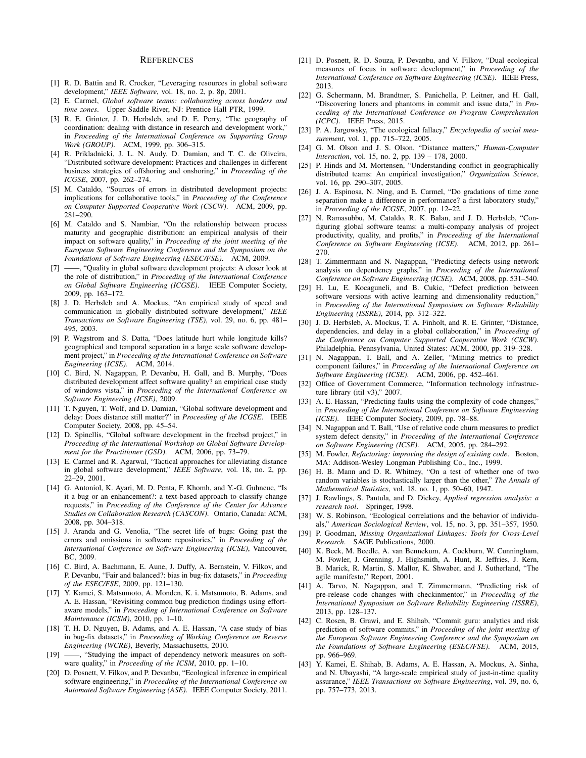#### REFERENCES

- [1] R. D. Battin and R. Crocker, "Leveraging resources in global software development," *IEEE Software*, vol. 18, no. 2, p. 8p, 2001.
- [2] E. Carmel, *Global software teams: collaborating across borders and time zones*. Upper Saddle River, NJ: Prentice Hall PTR, 1999.
- [3] R. E. Grinter, J. D. Herbsleb, and D. E. Perry, "The geography of coordination: dealing with distance in research and development work," in *Proceeding of the International Conference on Supporting Group Work (GROUP)*. ACM, 1999, pp. 306–315.
- [4] R. Prikladnicki, J. L. N. Audy, D. Damian, and T. C. de Oliveira, "Distributed software development: Practices and challenges in different business strategies of offshoring and onshoring," in *Proceeding of the ICGSE*, 2007, pp. 262–274.
- [5] M. Cataldo, "Sources of errors in distributed development projects: implications for collaborative tools," in *Proceeding of the Conference on Computer Supported Cooperative Work (CSCW)*. ACM, 2009, pp. 281–290.
- [6] M. Cataldo and S. Nambiar, "On the relationship between process maturity and geographic distribution: an empirical analysis of their impact on software quality," in *Proceeding of the joint meeting of the European Software Engineering Conference and the Symposium on the Foundations of Software Engineering (ESEC/FSE)*. ACM, 2009.
- [7] ——, "Quality in global software development projects: A closer look at the role of distribution," in *Proceeding of the International Conference on Global Software Engineering (ICGSE)*. IEEE Computer Society, 2009, pp. 163–172.
- [8] J. D. Herbsleb and A. Mockus, "An empirical study of speed and communication in globally distributed software development," *IEEE Transactions on Software Engineering (TSE)*, vol. 29, no. 6, pp. 481– 495, 2003.
- [9] P. Wagstrom and S. Datta, "Does latitude hurt while longitude kills? geographical and temporal separation in a large scale software development project," in *Proceeding of the International Conference on Software Engineering (ICSE)*. ACM, 2014.
- [10] C. Bird, N. Nagappan, P. Devanbu, H. Gall, and B. Murphy, "Does distributed development affect software quality? an empirical case study of windows vista," in *Proceeding of the International Conference on Software Engineering (ICSE)*, 2009.
- [11] T. Nguyen, T. Wolf, and D. Damian, "Global software development and delay: Does distance still matter?" in *Proceeding of the ICGSE*. IEEE Computer Society, 2008, pp. 45–54.
- [12] D. Spinellis, "Global software development in the freebsd project," in *Proceeding of the International Workshop on Global Software Development for the Practitioner (GSD)*. ACM, 2006, pp. 73–79.
- [13] E. Carmel and R. Agarwal, "Tactical approaches for alleviating distance in global software development," *IEEE Software*, vol. 18, no. 2, pp. 22–29, 2001.
- [14] G. Antoniol, K. Ayari, M. D. Penta, F. Khomh, and Y.-G. Guhneuc, "Is it a bug or an enhancement?: a text-based approach to classify change requests," in *Proceeding of the Conference of the Center for Advance Studies on Collaboration Research (CASCON)*. Ontario, Canada: ACM, 2008, pp. 304–318.
- [15] J. Aranda and G. Venolia, "The secret life of bugs: Going past the errors and omissions in software repositories," in *Proceeding of the International Conference on Software Engineering (ICSE)*, Vancouver, BC, 2009.
- [16] C. Bird, A. Bachmann, E. Aune, J. Duffy, A. Bernstein, V. Filkov, and P. Devanbu, "Fair and balanced?: bias in bug-fix datasets," in *Proceeding of the ESEC/FSE*, 2009, pp. 121–130.
- [17] Y. Kamei, S. Matsumoto, A. Monden, K. i. Matsumoto, B. Adams, and A. E. Hassan, "Revisiting common bug prediction findings using effortaware models," in *Proceeding of International Conference on Software Maintenance (ICSM)*, 2010, pp. 1–10.
- [18] T. H. D. Nguyen, B. Adams, and A. E. Hassan, "A case study of bias in bug-fix datasets," in *Proceeding of Working Conference on Reverse Engineering (WCRE)*, Beverly, Massachusetts, 2010.
- [19] ——, "Studying the impact of dependency network measures on software quality," in *Proceeding of the ICSM*, 2010, pp. 1–10.
- [20] D. Posnett, V. Filkov, and P. Devanbu, "Ecological inference in empirical software engineering," in *Proceeding of the International Conference on Automated Software Engineering (ASE)*. IEEE Computer Society, 2011.
- [21] D. Posnett, R. D. Souza, P. Devanbu, and V. Filkov, "Dual ecological measures of focus in software development," in *Proceeding of the International Conference on Software Engineering (ICSE)*. IEEE Press, 2013.
- [22] G. Schermann, M. Brandtner, S. Panichella, P. Leitner, and H. Gall, "Discovering loners and phantoms in commit and issue data," in *Proceeding of the International Conference on Program Comprehension (ICPC)*. IEEE Press, 2015.
- [23] P. A. Jargowsky, "The ecological fallacy," *Encyclopedia of social measurement*, vol. 1, pp. 715–722, 2005.
- [24] G. M. Olson and J. S. Olson, "Distance matters," *Human-Computer Interaction*, vol. 15, no. 2, pp. 139 – 178, 2000.
- [25] P. Hinds and M. Mortensen, "Understanding conflict in geographically distributed teams: An empirical investigation," *Organization Science*, vol. 16, pp. 290–307, 2005.
- [26] J. A. Espinosa, N. Ning, and E. Carmel, "Do gradations of time zone separation make a difference in performance? a first laboratory study," in *Proceeding of the ICGSE*, 2007, pp. 12–22.
- [27] N. Ramasubbu, M. Cataldo, R. K. Balan, and J. D. Herbsleb, "Configuring global software teams: a multi-company analysis of project productivity, quality, and profits," in *Proceeding of the International Conference on Software Engineering (ICSE)*. ACM, 2012, pp. 261– 270.
- [28] T. Zimmermann and N. Nagappan, "Predicting defects using network analysis on dependency graphs," in *Proceeding of the International Conference on Software Engineering (ICSE)*. ACM, 2008, pp. 531–540.
- [29] H. Lu, E. Kocaguneli, and B. Cukic, "Defect prediction between software versions with active learning and dimensionality reduction," in *Proceeding of the International Symposium on Software Reliability Engineering (ISSRE)*, 2014, pp. 312–322.
- [30] J. D. Herbsleb, A. Mockus, T. A. Finholt, and R. E. Grinter, "Distance, dependencies, and delay in a global collaboration," in *Proceeding of the Conference on Computer Supported Cooperative Work (CSCW)*. Philadelphia, Pennsylvania, United States: ACM, 2000, pp. 319–328.
- [31] N. Nagappan, T. Ball, and A. Zeller, "Mining metrics to predict component failures," in *Proceeding of the International Conference on Software Engineering (ICSE)*. ACM, 2006, pp. 452–461.
- [32] Office of Government Commerce, "Information technology infrastructure library (itil v3)," 2007.
- [33] A. E. Hassan, "Predicting faults using the complexity of code changes," in *Proceeding of the International Conference on Software Engineering (ICSE)*. IEEE Computer Society, 2009, pp. 78–88.
- [34] N. Nagappan and T. Ball, "Use of relative code churn measures to predict system defect density," in *Proceeding of the International Conference on Software Engineering (ICSE)*. ACM, 2005, pp. 284–292.
- [35] M. Fowler, *Refactoring: improving the design of existing code*. Boston, MA: Addison-Wesley Longman Publishing Co., Inc., 1999.
- [36] H. B. Mann and D. R. Whitney, "On a test of whether one of two random variables is stochastically larger than the other," *The Annals of Mathematical Statistics*, vol. 18, no. 1, pp. 50–60, 1947.
- [37] J. Rawlings, S. Pantula, and D. Dickey, *Applied regression analysis: a research tool*. Springer, 1998.
- [38] W. S. Robinson, "Ecological correlations and the behavior of individuals," *American Sociological Review*, vol. 15, no. 3, pp. 351–357, 1950.
- [39] P. Goodman, *Missing Organizational Linkages: Tools for Cross-Level Research*. SAGE Publications, 2000.
- [40] K. Beck, M. Beedle, A. van Bennekum, A. Cockburn, W. Cunningham, M. Fowler, J. Grenning, J. Highsmith, A. Hunt, R. Jeffries, J. Kern, B. Marick, R. Martin, S. Mallor, K. Shwaber, and J. Sutherland, "The agile manifesto," Report, 2001.
- [41] A. Tarvo, N. Nagappan, and T. Zimmermann, "Predicting risk of pre-release code changes with checkinmentor," in *Proceeding of the International Symposium on Software Reliability Engineering (ISSRE)*, 2013, pp. 128–137.
- [42] C. Rosen, B. Grawi, and E. Shihab, "Commit guru: analytics and risk prediction of software commits," in *Proceeding of the joint meeting of the European Software Engineering Conference and the Symposium on the Foundations of Software Engineering (ESEC/FSE)*. ACM, 2015, pp. 966–969.
- [43] Y. Kamei, E. Shihab, B. Adams, A. E. Hassan, A. Mockus, A. Sinha, and N. Ubayashi, "A large-scale empirical study of just-in-time quality assurance," *IEEE Transactions on Software Engineering*, vol. 39, no. 6, pp. 757–773, 2013.